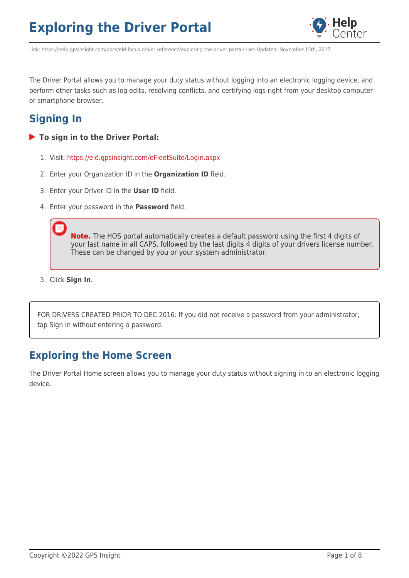

Link: https://help.gpsinsight.com/docs/eld-focus-driver-reference/exploring-the-driver-portal/ Last Updated: November 15th, 2017

The Driver Portal allows you to manage your duty status without logging into an electronic logging device, and perform other tasks such as log edits, resolving conflicts, and certifying logs right from your desktop computer or smartphone browser.

# **Signing In**

- **To sign in to the Driver Portal:**
	- 1. Visit: <https://eld.gpsinsight.com/eFleetSuite/Login.aspx>
	- 2. Enter your Organization ID in the **Organization ID** field.
	- 3. Enter your Driver ID in the **User ID** field.
	- 4. Enter your password in the **Password** field.

**Note.** The HOS portal automatically creates a default password using the first 4 digits of your last name in all CAPS, followed by the last digits 4 digits of your drivers license number. These can be changed by you or your system administrator.

5. Click **Sign In**.

FOR DRIVERS CREATED PRIOR TO DEC 2016: If you did not receive a password from your administrator, tap Sign In without entering a password.

## **Exploring the Home Screen**

The Driver Portal Home screen allows you to manage your duty status without signing in to an electronic logging device.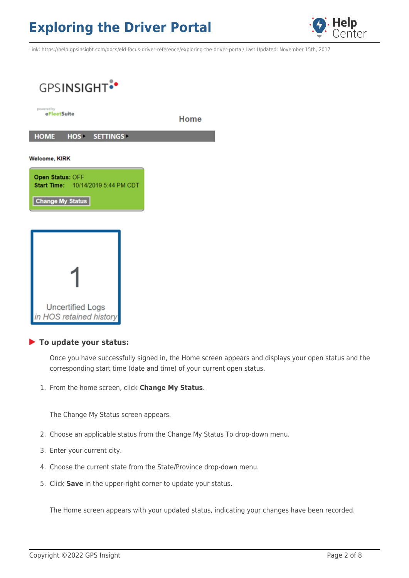

Link: https://help.gpsinsight.com/docs/eld-focus-driver-reference/exploring-the-driver-portal/ Last Updated: November 15th, 2017



#### **To update your status:**

Once you have successfully signed in, the Home screen appears and displays your open status and the corresponding start time (date and time) of your current open status.

1. From the home screen, click **Change My Status**.

The Change My Status screen appears.

- 2. Choose an applicable status from the Change My Status To drop-down menu.
- 3. Enter your current city.
- 4. Choose the current state from the State/Province drop-down menu.
- 5. Click **Save** in the upper-right corner to update your status.

The Home screen appears with your updated status, indicating your changes have been recorded.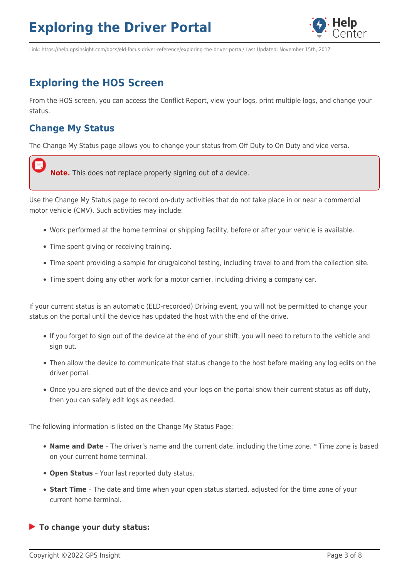

Link: https://help.gpsinsight.com/docs/eld-focus-driver-reference/exploring-the-driver-portal/ Last Updated: November 15th, 2017

# **Exploring the HOS Screen**

From the HOS screen, you can access the Conflict Report, view your logs, print multiple logs, and change your status.

## **Change My Status**

The Change My Status page allows you to change your status from Off Duty to On Duty and vice versa.



Use the Change My Status page to record on-duty activities that do not take place in or near a commercial motor vehicle (CMV). Such activities may include:

- Work performed at the home terminal or shipping facility, before or after your vehicle is available.
- Time spent giving or receiving training.
- Time spent providing a sample for drug/alcohol testing, including travel to and from the collection site.
- Time spent doing any other work for a motor carrier, including driving a company car.

If your current status is an automatic (ELD-recorded) Driving event, you will not be permitted to change your status on the portal until the device has updated the host with the end of the drive.

- If you forget to sign out of the device at the end of your shift, you will need to return to the vehicle and sign out.
- Then allow the device to communicate that status change to the host before making any log edits on the driver portal.
- Once you are signed out of the device and your logs on the portal show their current status as off duty, then you can safely edit logs as needed.

The following information is listed on the Change My Status Page:

- **Name and Date** The driver's name and the current date, including the time zone. \* Time zone is based on your current home terminal.
- **Open Status** Your last reported duty status.
- **Start Time** The date and time when your open status started, adjusted for the time zone of your current home terminal.

**To change your duty status:**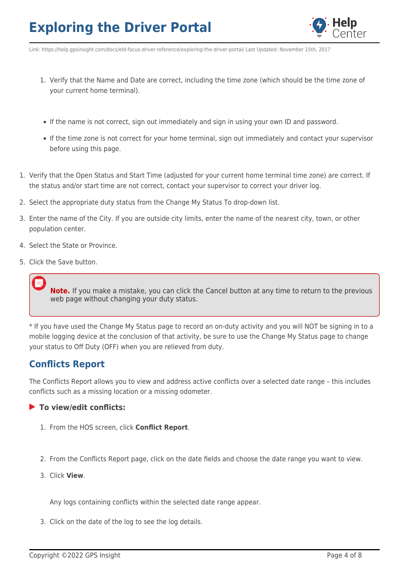

Link: https://help.gpsinsight.com/docs/eld-focus-driver-reference/exploring-the-driver-portal/ Last Updated: November 15th, 2017

- 1. Verify that the Name and Date are correct, including the time zone (which should be the time zone of your current home terminal).
- If the name is not correct, sign out immediately and sign in using your own ID and password.
- If the time zone is not correct for your home terminal, sign out immediately and contact your supervisor before using this page.
- 1. Verify that the Open Status and Start Time (adjusted for your current home terminal time zone) are correct. If the status and/or start time are not correct, contact your supervisor to correct your driver log.
- 2. Select the appropriate duty status from the Change My Status To drop-down list.
- 3. Enter the name of the City. If you are outside city limits, enter the name of the nearest city, town, or other population center.
- 4. Select the State or Province.
- 5. Click the Save button.

**Note.** If you make a mistake, you can click the Cancel button at any time to return to the previous web page without changing your duty status.

\* If you have used the Change My Status page to record an on-duty activity and you will NOT be signing in to a mobile logging device at the conclusion of that activity, be sure to use the Change My Status page to change your status to Off Duty (OFF) when you are relieved from duty.

### **Conflicts Report**

The Conflicts Report allows you to view and address active conflicts over a selected date range – this includes conflicts such as a missing location or a missing odometer.

#### **To view/edit conflicts:**

- 1. From the HOS screen, click **Conflict Report**.
- 2. From the Conflicts Report page, click on the date fields and choose the date range you want to view.
- 3. Click **View**.

Any logs containing conflicts within the selected date range appear.

3. Click on the date of the log to see the log details.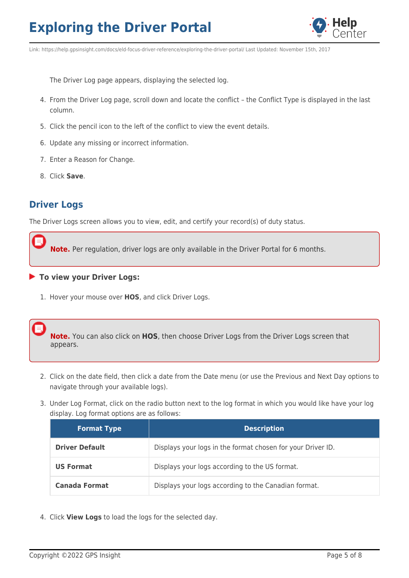

Link: https://help.gpsinsight.com/docs/eld-focus-driver-reference/exploring-the-driver-portal/ Last Updated: November 15th, 2017

The Driver Log page appears, displaying the selected log.

- 4. From the Driver Log page, scroll down and locate the conflict the Conflict Type is displayed in the last column.
- 5. Click the pencil icon to the left of the conflict to view the event details.
- 6. Update any missing or incorrect information.
- 7. Enter a Reason for Change.
- 8. Click **Save**.

### **Driver Logs**

The Driver Logs screen allows you to view, edit, and certify your record(s) of duty status.

**Note.** Per regulation, driver logs are only available in the Driver Portal for 6 months.

#### **To view your Driver Logs:**

1. Hover your mouse over **HOS**, and click Driver Logs.

**Note.** You can also click on **HOS**, then choose Driver Logs from the Driver Logs screen that appears.

- 2. Click on the date field, then click a date from the Date menu (or use the Previous and Next Day options to navigate through your available logs).
- 3. Under Log Format, click on the radio button next to the log format in which you would like have your log display. Log format options are as follows:

| <b>Format Type</b>    | <b>Description</b>                                          |
|-----------------------|-------------------------------------------------------------|
| <b>Driver Default</b> | Displays your logs in the format chosen for your Driver ID. |
| <b>US Format</b>      | Displays your logs according to the US format.              |
| <b>Canada Format</b>  | Displays your logs according to the Canadian format.        |

4. Click **View Logs** to load the logs for the selected day.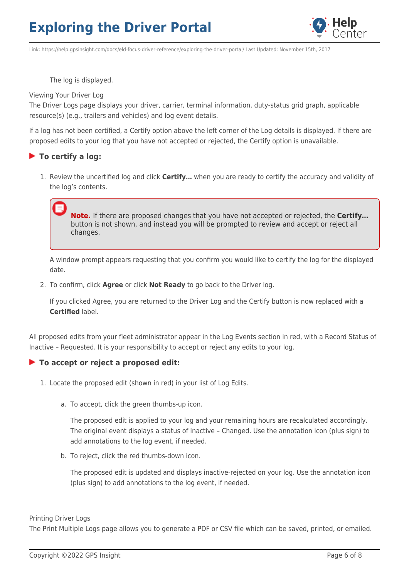

Link: https://help.gpsinsight.com/docs/eld-focus-driver-reference/exploring-the-driver-portal/ Last Updated: November 15th, 2017

The log is displayed.

#### Viewing Your Driver Log

The Driver Logs page displays your driver, carrier, terminal information, duty-status grid graph, applicable resource(s) (e.g., trailers and vehicles) and log event details.

If a log has not been certified, a Certify option above the left corner of the Log details is displayed. If there are proposed edits to your log that you have not accepted or rejected, the Certify option is unavailable.

#### **To certify a log:**

1. Review the uncertified log and click **Certify…** when you are ready to certify the accuracy and validity of the log's contents.

**Note.** If there are proposed changes that you have not accepted or rejected, the **Certify…** button is not shown, and instead you will be prompted to review and accept or reject all changes.

A window prompt appears requesting that you confirm you would like to certify the log for the displayed date.

2. To confirm, click **Agree** or click **Not Ready** to go back to the Driver log.

If you clicked Agree, you are returned to the Driver Log and the Certify button is now replaced with a **Certified** label.

All proposed edits from your fleet administrator appear in the Log Events section in red, with a Record Status of Inactive – Requested. It is your responsibility to accept or reject any edits to your log.

#### **To accept or reject a proposed edit:**

- 1. Locate the proposed edit (shown in red) in your list of Log Edits.
	- a. To accept, click the green thumbs-up icon.

The proposed edit is applied to your log and your remaining hours are recalculated accordingly. The original event displays a status of Inactive – Changed. Use the annotation icon (plus sign) to add annotations to the log event, if needed.

b. To reject, click the red thumbs-down icon.

The proposed edit is updated and displays inactive-rejected on your log. Use the annotation icon (plus sign) to add annotations to the log event, if needed.

Printing Driver Logs

The Print Multiple Logs page allows you to generate a PDF or CSV file which can be saved, printed, or emailed.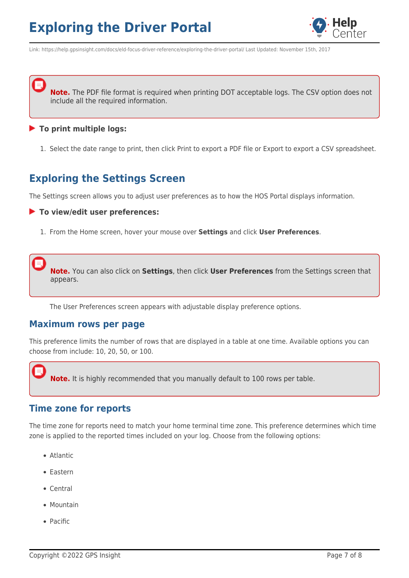

Link: https://help.gpsinsight.com/docs/eld-focus-driver-reference/exploring-the-driver-portal/ Last Updated: November 15th, 2017

**Note.** The PDF file format is required when printing DOT acceptable logs. The CSV option does not include all the required information.

#### **To print multiple logs:**

1. Select the date range to print, then click Print to export a PDF file or Export to export a CSV spreadsheet.

## **Exploring the Settings Screen**

The Settings screen allows you to adjust user preferences as to how the HOS Portal displays information.

**To view/edit user preferences:**

1. From the Home screen, hover your mouse over **Settings** and click **User Preferences**.

**Note.** You can also click on **Settings**, then click **User Preferences** from the Settings screen that appears.

The User Preferences screen appears with adjustable display preference options.

### **Maximum rows per page**

This preference limits the number of rows that are displayed in a table at one time. Available options you can choose from include: 10, 20, 50, or 100.

**Note.** It is highly recommended that you manually default to 100 rows per table.

### **Time zone for reports**

The time zone for reports need to match your home terminal time zone. This preference determines which time zone is applied to the reported times included on your log. Choose from the following options:

- Atlantic
- Eastern
- Central
- Mountain
- Pacific